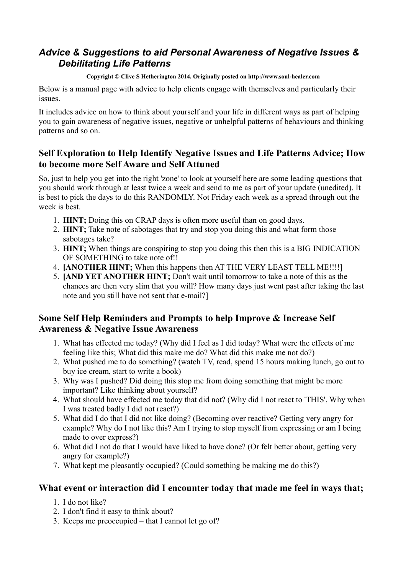# *Advice & Suggestions to aid Personal Awareness of Negative Issues & Debilitating Life Patterns*

#### **Copyright © Clive S Hetherington 2014. Originally posted on http://www.soul-healer.com**

Below is a manual page with advice to help clients engage with themselves and particularly their issues.

It includes advice on how to think about yourself and your life in different ways as part of helping you to gain awareness of negative issues, negative or unhelpful patterns of behaviours and thinking patterns and so on.

### **Self Exploration to Help Identify Negative Issues and Life Patterns Advice; How to become more Self Aware and Self Attuned**

So, just to help you get into the right 'zone' to look at yourself here are some leading questions that you should work through at least twice a week and send to me as part of your update (unedited). It is best to pick the days to do this RANDOMLY. Not Friday each week as a spread through out the week is best.

- 1. **HINT;** Doing this on CRAP days is often more useful than on good days.
- 2. **HINT;** Take note of sabotages that try and stop you doing this and what form those sabotages take?
- 3. **HINT;** When things are conspiring to stop you doing this then this is a BIG INDICATION OF SOMETHING to take note of!!
- 4. **[ANOTHER HINT;** When this happens then AT THE VERY LEAST TELL ME!!!!]
- 5. **[AND YET ANOTHER HINT;** Don't wait until tomorrow to take a note of this as the chances are then very slim that you will? How many days just went past after taking the last note and you still have not sent that e-mail?]

## **Some Self Help Reminders and Prompts to help Improve & Increase Self Awareness & Negative Issue Awareness**

- 1. What has effected me today? (Why did I feel as I did today? What were the effects of me feeling like this; What did this make me do? What did this make me not do?)
- 2. What pushed me to do something? (watch TV, read, spend 15 hours making lunch, go out to buy ice cream, start to write a book)
- 3. Why was I pushed? Did doing this stop me from doing something that might be more important? Like thinking about yourself?
- 4. What should have effected me today that did not? (Why did I not react to 'THIS', Why when I was treated badly I did not react?)
- 5. What did I do that I did not like doing? (Becoming over reactive? Getting very angry for example? Why do I not like this? Am I trying to stop myself from expressing or am I being made to over express?)
- 6. What did I not do that I would have liked to have done? (Or felt better about, getting very angry for example?)
- 7. What kept me pleasantly occupied? (Could something be making me do this?)

#### **What event or interaction did I encounter today that made me feel in ways that;**

- 1. I do not like?
- 2. I don't find it easy to think about?
- 3. Keeps me preoccupied that I cannot let go of?